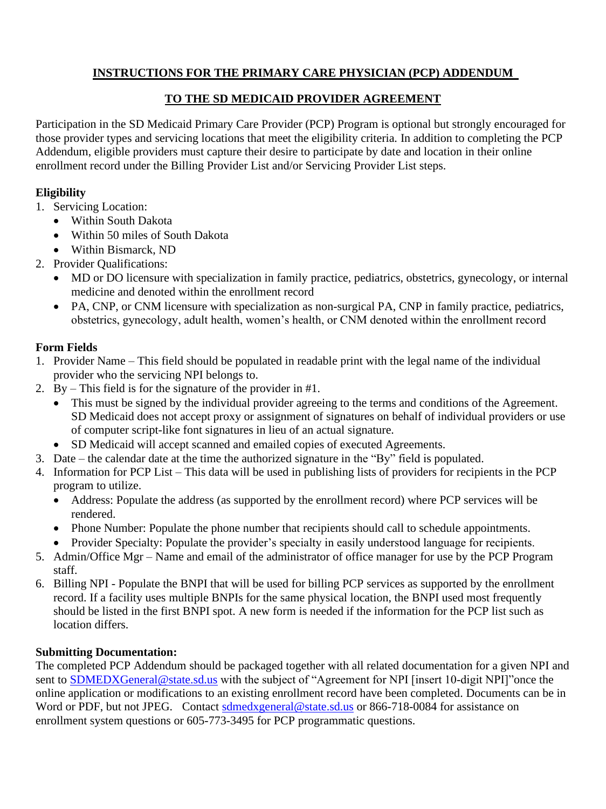# **INSTRUCTIONS FOR THE PRIMARY CARE PHYSICIAN (PCP) ADDENDUM**

#### **TO THE SD MEDICAID PROVIDER AGREEMENT**

Participation in the SD Medicaid Primary Care Provider (PCP) Program is optional but strongly encouraged for those provider types and servicing locations that meet the eligibility criteria. In addition to completing the PCP Addendum, eligible providers must capture their desire to participate by date and location in their online enrollment record under the Billing Provider List and/or Servicing Provider List steps.

## **Eligibility**

- 1. Servicing Location:
	- Within South Dakota
	- Within 50 miles of South Dakota
	- Within Bismarck, ND
- 2. Provider Qualifications:
	- MD or DO licensure with specialization in family practice, pediatrics, obstetrics, gynecology, or internal medicine and denoted within the enrollment record
	- PA, CNP, or CNM licensure with specialization as non-surgical PA, CNP in family practice, pediatrics, obstetrics, gynecology, adult health, women's health, or CNM denoted within the enrollment record

# **Form Fields**

- 1. Provider Name This field should be populated in readable print with the legal name of the individual provider who the servicing NPI belongs to.
- 2. By This field is for the signature of the provider in #1.
	- This must be signed by the individual provider agreeing to the terms and conditions of the Agreement. SD Medicaid does not accept proxy or assignment of signatures on behalf of individual providers or use of computer script-like font signatures in lieu of an actual signature.
	- SD Medicaid will accept scanned and emailed copies of executed Agreements.
- 3. Date the calendar date at the time the authorized signature in the "By" field is populated.
- 4. Information for PCP List This data will be used in publishing lists of providers for recipients in the PCP program to utilize.
	- Address: Populate the address (as supported by the enrollment record) where PCP services will be rendered.
	- Phone Number: Populate the phone number that recipients should call to schedule appointments.
	- Provider Specialty: Populate the provider's specialty in easily understood language for recipients.
- 5. Admin/Office Mgr Name and email of the administrator of office manager for use by the PCP Program staff.
- 6. Billing NPI Populate the BNPI that will be used for billing PCP services as supported by the enrollment record. If a facility uses multiple BNPIs for the same physical location, the BNPI used most frequently should be listed in the first BNPI spot. A new form is needed if the information for the PCP list such as location differs.

## **Submitting Documentation:**

The completed PCP Addendum should be packaged together with all related documentation for a given NPI and sent to **SDMEDXGeneral@state.sd.us** with the subject of "Agreement for NPI [insert 10-digit NPI]"once the online application or modifications to an existing enrollment record have been completed. Documents can be in Word or PDF, but not JPEG. Contact [sdmedxgeneral@state.sd.us](mailto:sdmedxgeneral@state.sd.us) or 866-718-0084 for assistance on enrollment system questions or 605-773-3495 for PCP programmatic questions.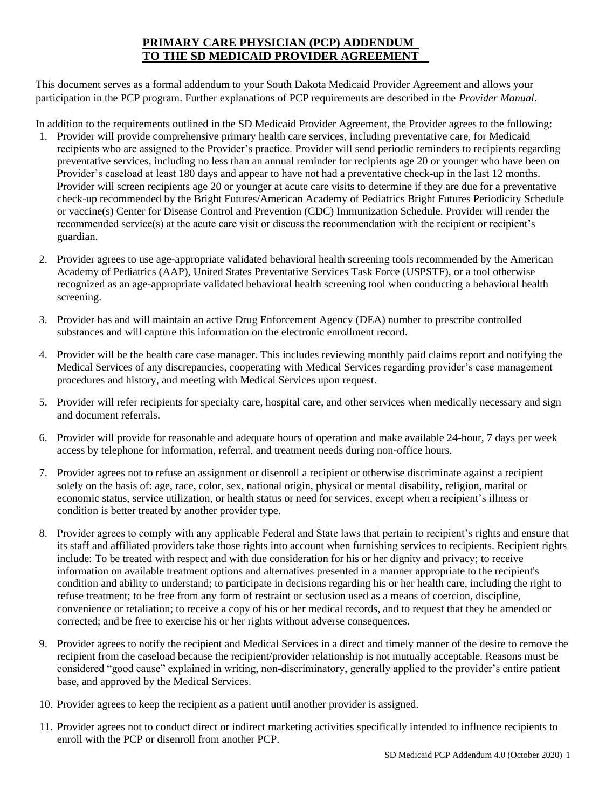### **PRIMARY CARE PHYSICIAN (PCP) ADDENDUM TO THE SD MEDICAID PROVIDER AGREEMENT**

This document serves as a formal addendum to your South Dakota Medicaid Provider Agreement and allows your participation in the PCP program. Further explanations of PCP requirements are described in the *Provider Manual*.

In addition to the requirements outlined in the SD Medicaid Provider Agreement, the Provider agrees to the following:

- 1. Provider will provide comprehensive primary health care services, including preventative care, for Medicaid recipients who are assigned to the Provider's practice. Provider will send periodic reminders to recipients regarding preventative services, including no less than an annual reminder for recipients age 20 or younger who have been on Provider's caseload at least 180 days and appear to have not had a preventative check-up in the last 12 months. Provider will screen recipients age 20 or younger at acute care visits to determine if they are due for a preventative check-up recommended by the Bright Futures/American Academy of Pediatrics Bright Futures Periodicity Schedule or vaccine(s) Center for Disease Control and Prevention (CDC) Immunization Schedule. Provider will render the recommended service(s) at the acute care visit or discuss the recommendation with the recipient or recipient's guardian.
- 2. Provider agrees to use age-appropriate validated behavioral health screening tools recommended by the American Academy of Pediatrics (AAP), United States Preventative Services Task Force (USPSTF), or a tool otherwise recognized as an age-appropriate validated behavioral health screening tool when conducting a behavioral health screening.
- 3. Provider has and will maintain an active Drug Enforcement Agency (DEA) number to prescribe controlled substances and will capture this information on the electronic enrollment record.
- 4. Provider will be the health care case manager. This includes reviewing monthly paid claims report and notifying the Medical Services of any discrepancies, cooperating with Medical Services regarding provider's case management procedures and history, and meeting with Medical Services upon request.
- 5. Provider will refer recipients for specialty care, hospital care, and other services when medically necessary and sign and document referrals.
- 6. Provider will provide for reasonable and adequate hours of operation and make available 24-hour, 7 days per week access by telephone for information, referral, and treatment needs during non-office hours.
- 7. Provider agrees not to refuse an assignment or disenroll a recipient or otherwise discriminate against a recipient solely on the basis of: age, race, color, sex, national origin, physical or mental disability, religion, marital or economic status, service utilization, or health status or need for services, except when a recipient's illness or condition is better treated by another provider type.
- 8. Provider agrees to comply with any applicable Federal and State laws that pertain to recipient's rights and ensure that its staff and affiliated providers take those rights into account when furnishing services to recipients. Recipient rights include: To be treated with respect and with due consideration for his or her dignity and privacy; to receive information on available treatment options and alternatives presented in a manner appropriate to the recipient's condition and ability to understand; to participate in decisions regarding his or her health care, including the right to refuse treatment; to be free from any form of restraint or seclusion used as a means of coercion, discipline, convenience or retaliation; to receive a copy of his or her medical records, and to request that they be amended or corrected; and be free to exercise his or her rights without adverse consequences.
- 9. Provider agrees to notify the recipient and Medical Services in a direct and timely manner of the desire to remove the recipient from the caseload because the recipient/provider relationship is not mutually acceptable. Reasons must be considered "good cause" explained in writing, non-discriminatory, generally applied to the provider's entire patient base, and approved by the Medical Services.
- 10. Provider agrees to keep the recipient as a patient until another provider is assigned.
- 11. Provider agrees not to conduct direct or indirect marketing activities specifically intended to influence recipients to enroll with the PCP or disenroll from another PCP.